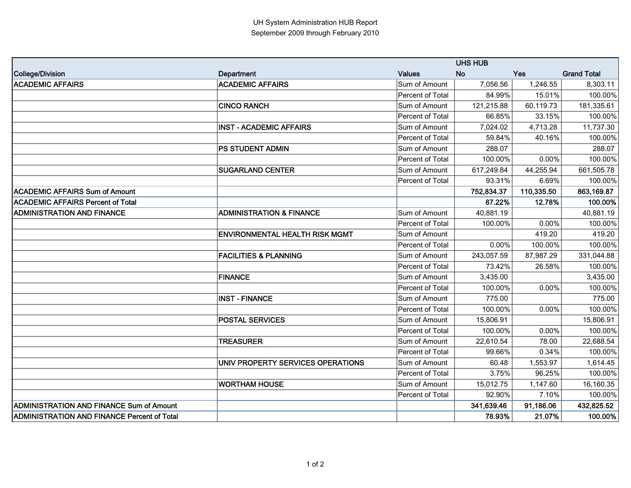|                                                    | <b>UHS HUB</b>                        |                  |            |            |                    |
|----------------------------------------------------|---------------------------------------|------------------|------------|------------|--------------------|
| <b>College/Division</b>                            | Department                            | <b>Values</b>    | <b>No</b>  | Yes        | <b>Grand Total</b> |
| <b>ACADEMIC AFFAIRS</b>                            | <b>ACADEMIC AFFAIRS</b>               | Sum of Amount    | 7,056.56   | 1,246.55   | 8,303.11           |
|                                                    |                                       | Percent of Total | 84.99%     | 15.01%     | 100.00%            |
|                                                    | <b>CINCO RANCH</b>                    | Sum of Amount    | 121,215.88 | 60,119.73  | 181,335.61         |
|                                                    |                                       | Percent of Total | 66.85%     | 33.15%     | 100.00%            |
|                                                    | <b>INST - ACADEMIC AFFAIRS</b>        | Sum of Amount    | 7,024.02   | 4,713.28   | 11,737.30          |
|                                                    |                                       | Percent of Total | 59.84%     | 40.16%     | 100.00%            |
|                                                    | PS STUDENT ADMIN                      | Sum of Amount    | 288.07     |            | 288.07             |
|                                                    |                                       | Percent of Total | 100.00%    | 0.00%      | 100.00%            |
|                                                    | <b>SUGARLAND CENTER</b>               | Sum of Amount    | 617,249.84 | 44,255.94  | 661,505.78         |
|                                                    |                                       | Percent of Total | 93.31%     | 6.69%      | 100.00%            |
| <b>ACADEMIC AFFAIRS Sum of Amount</b>              |                                       |                  | 752,834.37 | 110,335.50 | 863,169.87         |
| <b>ACADEMIC AFFAIRS Percent of Total</b>           |                                       |                  | 87.22%     | 12.78%     | 100.00%            |
| <b>ADMINISTRATION AND FINANCE</b>                  | <b>ADMINISTRATION &amp; FINANCE</b>   | Sum of Amount    | 40,881.19  |            | 40,881.19          |
|                                                    |                                       | Percent of Total | 100.00%    | 0.00%      | 100.00%            |
|                                                    | <b>ENVIRONMENTAL HEALTH RISK MGMT</b> | Sum of Amount    |            | 419.20     | 419.20             |
|                                                    |                                       | Percent of Total | 0.00%      | 100.00%    | 100.00%            |
|                                                    | <b>FACILITIES &amp; PLANNING</b>      | Sum of Amount    | 243,057.59 | 87,987.29  | 331,044.88         |
|                                                    |                                       | Percent of Total | 73.42%     | 26.58%     | 100.00%            |
|                                                    | <b>FINANCE</b>                        | Sum of Amount    | 3,435.00   |            | 3,435.00           |
|                                                    |                                       | Percent of Total | 100.00%    | 0.00%      | 100.00%            |
|                                                    | <b>INST - FINANCE</b>                 | Sum of Amount    | 775.00     |            | 775.00             |
|                                                    |                                       | Percent of Total | 100.00%    | 0.00%      | 100.00%            |
|                                                    | <b>POSTAL SERVICES</b>                | Sum of Amount    | 15,806.91  |            | 15,806.91          |
|                                                    |                                       | Percent of Total | 100.00%    | 0.00%      | 100.00%            |
|                                                    | <b>TREASURER</b>                      | Sum of Amount    | 22,610.54  | 78.00      | 22,688.54          |
|                                                    |                                       | Percent of Total | 99.66%     | 0.34%      | 100.00%            |
|                                                    | UNIV PROPERTY SERVICES OPERATIONS     | Sum of Amount    | 60.48      | 1,553.97   | 1,614.45           |
|                                                    |                                       | Percent of Total | 3.75%      | 96.25%     | 100.00%            |
|                                                    | <b>WORTHAM HOUSE</b>                  | Sum of Amount    | 15,012.75  | 1,147.60   | 16,160.35          |
|                                                    |                                       | Percent of Total | 92.90%     | 7.10%      | 100.00%            |
| <b>ADMINISTRATION AND FINANCE Sum of Amount</b>    |                                       |                  | 341,639.46 | 91,186.06  | 432,825.52         |
| <b>ADMINISTRATION AND FINANCE Percent of Total</b> |                                       |                  | 78.93%     | 21.07%     | 100.00%            |